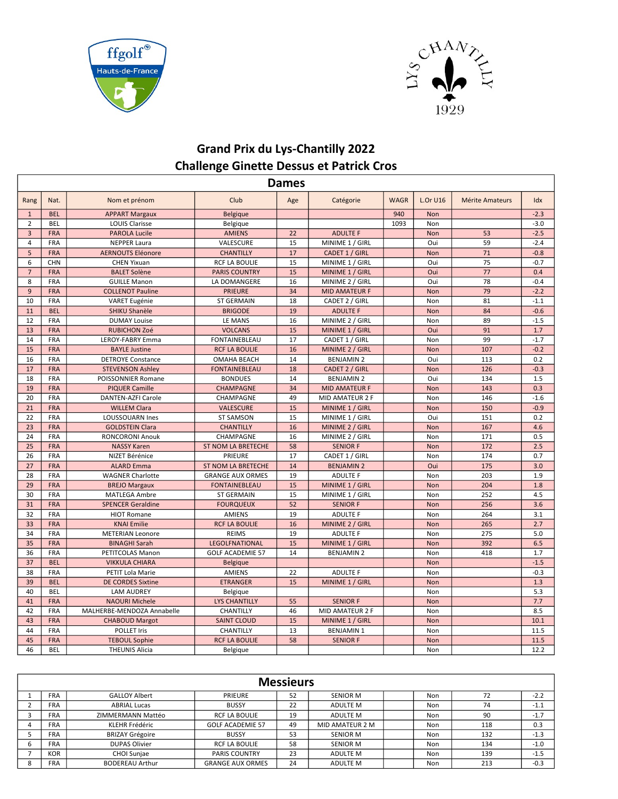



## Grand Prix du Lys-Chantilly 2022 Challenge Ginette Dessus et Patrick Cros

|                | Dames      |                            |                           |     |                      |             |                 |                        |        |  |  |  |
|----------------|------------|----------------------------|---------------------------|-----|----------------------|-------------|-----------------|------------------------|--------|--|--|--|
| Rang           | Nat.       | Nom et prénom              | Club                      | Age | Catégorie            | <b>WAGR</b> | <b>L.Or U16</b> | <b>Mérite Amateurs</b> | Idx    |  |  |  |
| $\mathbf{1}$   | <b>BEL</b> | <b>APPART Margaux</b>      | <b>Belgique</b>           |     |                      | 940         | <b>Non</b>      |                        | $-2.3$ |  |  |  |
| $\overline{2}$ | <b>BEL</b> | <b>LOUIS Clarisse</b>      | <b>Belgique</b>           |     |                      | 1093        | Non             |                        | $-3.0$ |  |  |  |
| $\overline{3}$ | <b>FRA</b> | <b>PAROLA Lucile</b>       | <b>AMIENS</b>             | 22  | <b>ADULTE F</b>      |             | <b>Non</b>      | 53                     | $-2.5$ |  |  |  |
| $\overline{4}$ | <b>FRA</b> | <b>NEPPER Laura</b>        | VALESCURE                 | 15  | MINIME 1 / GIRL      |             | Oui             | 59                     | $-2.4$ |  |  |  |
| 5              | <b>FRA</b> | <b>AERNOUTS Eléonore</b>   | <b>CHANTILLY</b>          | 17  | CADET 1 / GIRL       |             | Non             | 71                     | $-0.8$ |  |  |  |
| 6              | <b>CHN</b> | <b>CHEN Yixuan</b>         | <b>RCF LA BOULIE</b>      | 15  | MINIME 1 / GIRL      |             | Oui             | 75                     | $-0.7$ |  |  |  |
| $\overline{7}$ | <b>FRA</b> | <b>BALET Solène</b>        | <b>PARIS COUNTRY</b>      | 15  | MINIME 1 / GIRL      |             | Oui             | 77                     | 0.4    |  |  |  |
| 8              | <b>FRA</b> | <b>GUILLE Manon</b>        | LA DOMANGERE              | 16  | MINIME 2 / GIRL      |             | Oui             | 78                     | $-0.4$ |  |  |  |
| 9              | <b>FRA</b> | <b>COLLENOT Pauline</b>    | <b>PRIEURE</b>            | 34  | <b>MID AMATEUR F</b> |             | Non             | 79                     | $-2.2$ |  |  |  |
| 10             | FRA        | VARET Eugénie              | <b>ST GERMAIN</b>         | 18  | CADET 2 / GIRL       |             | Non             | 81                     | $-1.1$ |  |  |  |
| 11             | <b>BEL</b> | <b>SHIKU Shanèle</b>       | <b>BRIGODE</b>            | 19  | <b>ADULTE F</b>      |             | <b>Non</b>      | 84                     | $-0.6$ |  |  |  |
| 12             | <b>FRA</b> | <b>DUMAY Louise</b>        | LE MANS                   | 16  | MINIME 2 / GIRL      |             | Non             | 89                     | $-1.5$ |  |  |  |
| 13             | <b>FRA</b> | <b>RUBICHON Zoé</b>        | <b>VOLCANS</b>            | 15  | MINIME 1 / GIRL      |             | Oui             | 91                     | 1.7    |  |  |  |
| 14             | <b>FRA</b> | LEROY-FABRY Emma           | <b>FONTAINEBLEAU</b>      | 17  | CADET 1 / GIRL       |             | Non             | 99                     | $-1.7$ |  |  |  |
| 15             | <b>FRA</b> | <b>BAYLE Justine</b>       | <b>RCF LA BOULIE</b>      | 16  | MINIME 2 / GIRL      |             | Non             | 107                    | $-0.2$ |  |  |  |
| 16             | FRA        | <b>DETROYE Constance</b>   | <b>OMAHA BEACH</b>        | 14  | <b>BENJAMIN 2</b>    |             | Oui             | 113                    | 0.2    |  |  |  |
| 17             | <b>FRA</b> | <b>STEVENSON Ashley</b>    | <b>FONTAINEBLEAU</b>      | 18  | CADET 2 / GIRL       |             | Non             | 126                    | $-0.3$ |  |  |  |
| 18             | FRA        | POISSONNIER Romane         | <b>BONDUES</b>            | 14  | <b>BENJAMIN 2</b>    |             | Oui             | 134                    | 1.5    |  |  |  |
| 19             | <b>FRA</b> | <b>PIQUER Camille</b>      | <b>CHAMPAGNE</b>          | 34  | <b>MID AMATEUR F</b> |             | Non             | 143                    | 0.3    |  |  |  |
| 20             | <b>FRA</b> | <b>DANTEN-AZFI Carole</b>  | CHAMPAGNE                 | 49  | MID AMATEUR 2 F      |             | Non             | 146                    | $-1.6$ |  |  |  |
| 21             | <b>FRA</b> | <b>WILLEM Clara</b>        | <b>VALESCURE</b>          | 15  | MINIME 1 / GIRL      |             | Non             | 150                    | $-0.9$ |  |  |  |
| 22             | <b>FRA</b> | <b>LOUSSOUARN Ines</b>     | <b>ST SAMSON</b>          | 15  | MINIME 1 / GIRL      |             | Oui             | 151                    | 0.2    |  |  |  |
| 23             | <b>FRA</b> | <b>GOLDSTEIN Clara</b>     | <b>CHANTILLY</b>          | 16  | MINIME 2 / GIRL      |             | Non             | 167                    | 4.6    |  |  |  |
| 24             | <b>FRA</b> | <b>RONCORONI Anouk</b>     | CHAMPAGNE                 | 16  | MINIME 2 / GIRL      |             | Non             | 171                    | 0.5    |  |  |  |
| 25             | <b>FRA</b> | <b>NASSY Karen</b>         | <b>ST NOM LA BRETECHE</b> | 58  | <b>SENIOR F</b>      |             | Non             | 172                    | 2.5    |  |  |  |
| 26             | <b>FRA</b> | NIZET Bérénice             | <b>PRIEURE</b>            | 17  | CADET 1 / GIRL       |             | Non             | 174                    | 0.7    |  |  |  |
| 27             | <b>FRA</b> | <b>ALARD Emma</b>          | <b>ST NOM LA BRETECHE</b> | 14  | <b>BENJAMIN 2</b>    |             | Oui             | 175                    | 3.0    |  |  |  |
| 28             | <b>FRA</b> | <b>WAGNER Charlotte</b>    | <b>GRANGE AUX ORMES</b>   | 19  | <b>ADULTE F</b>      |             | Non             | 203                    | 1.9    |  |  |  |
| 29             | <b>FRA</b> | <b>BREJO Margaux</b>       | <b>FONTAINEBLEAU</b>      | 15  | MINIME 1 / GIRL      |             | <b>Non</b>      | 204                    | 1.8    |  |  |  |
| 30             | <b>FRA</b> | <b>MATLEGA Ambre</b>       | <b>ST GERMAIN</b>         | 15  | MINIME 1 / GIRL      |             | Non             | 252                    | 4.5    |  |  |  |
| 31             | <b>FRA</b> | <b>SPENCER Geraldine</b>   | <b>FOURQUEUX</b>          | 52  | <b>SENIOR F</b>      |             | <b>Non</b>      | 256                    | 3.6    |  |  |  |
| 32             | <b>FRA</b> | <b>HIOT Romane</b>         | <b>AMIENS</b>             | 19  | <b>ADULTE F</b>      |             | Non             | 264                    | 3.1    |  |  |  |
| 33             | <b>FRA</b> | <b>KNAI Emilie</b>         | <b>RCF LA BOULIE</b>      | 16  | MINIME 2 / GIRL      |             | <b>Non</b>      | 265                    | 2.7    |  |  |  |
| 34             | FRA        | <b>METERIAN Leonore</b>    | <b>REIMS</b>              | 19  | <b>ADULTE F</b>      |             | Non             | 275                    | 5.0    |  |  |  |
| 35             | <b>FRA</b> | <b>BINAGHI Sarah</b>       | LEGOLFNATIONAL            | 15  | MINIME 1 / GIRL      |             | Non             | 392                    | 6.5    |  |  |  |
| 36             | FRA        | PETITCOLAS Manon           | <b>GOLF ACADEMIE 57</b>   | 14  | <b>BENJAMIN 2</b>    |             | Non             | 418                    | 1.7    |  |  |  |
| 37             | <b>BEL</b> | <b>VIKKULA CHIARA</b>      | <b>Belgique</b>           |     |                      |             | Non             |                        | $-1.5$ |  |  |  |
| 38             | FRA        | PETIT Lola Marie           | <b>AMIENS</b>             | 22  | <b>ADULTE F</b>      |             | Non             |                        | $-0.3$ |  |  |  |
| 39             | <b>BEL</b> | <b>DE CORDES Sixtine</b>   | <b>ETRANGER</b>           | 15  | MINIME 1 / GIRL      |             | Non             |                        | 1.3    |  |  |  |
| 40             | <b>BEL</b> | <b>LAM AUDREY</b>          | Belgique                  |     |                      |             | Non             |                        | 5.3    |  |  |  |
| 41             | <b>FRA</b> | <b>NAOURI Michele</b>      | <b>LYS CHANTILLY</b>      | 55  | <b>SENIOR F</b>      |             | Non             |                        | 7.7    |  |  |  |
| 42             | <b>FRA</b> | MALHERBE-MENDOZA Annabelle | CHANTILLY                 | 46  | MID AMATEUR 2 F      |             | Non             |                        | 8.5    |  |  |  |
| 43             | <b>FRA</b> | <b>CHABOUD Margot</b>      | <b>SAINT CLOUD</b>        | 15  | MINIME 1 / GIRL      |             | Non             |                        | 10.1   |  |  |  |
| 44             | <b>FRA</b> | <b>POLLET Iris</b>         | CHANTILLY                 | 13  | <b>BENJAMIN1</b>     |             | Non             |                        | 11.5   |  |  |  |
| 45             | <b>FRA</b> | <b>TEBOUL Sophie</b>       | <b>RCF LA BOULIE</b>      | 58  | <b>SENIOR F</b>      |             | Non             |                        | 11.5   |  |  |  |
| 46             | <b>BEL</b> | <b>THEUNIS Alicia</b>      | Belgique                  |     |                      |             | Non             |                        | 12.2   |  |  |  |

|   | <b>Messieurs</b> |                        |                         |    |                 |  |            |     |        |  |
|---|------------------|------------------------|-------------------------|----|-----------------|--|------------|-----|--------|--|
|   | <b>FRA</b>       | <b>GALLOY Albert</b>   | <b>PRIEURE</b>          | 52 | <b>SENIOR M</b> |  | Non        | 72  | $-2.2$ |  |
|   | <b>FRA</b>       | <b>ABRIAL Lucas</b>    | <b>BUSSY</b>            | 22 | ADULTE M        |  | <b>Non</b> | 74  | $-1.1$ |  |
|   | <b>FRA</b>       | ZIMMERMANN Mattéo      | <b>RCF LA BOULIE</b>    | 19 | ADULTE M        |  | Non        | 90  | $-1.7$ |  |
| 4 | <b>FRA</b>       | KLEHR Frédéric         | <b>GOLF ACADEMIE 57</b> | 49 | MID AMATEUR 2 M |  | Non        | 118 | 0.3    |  |
|   | <b>FRA</b>       | <b>BRIZAY Grégoire</b> | <b>BUSSY</b>            | 53 | <b>SENIOR M</b> |  | Non        | 132 | $-1.3$ |  |
| b | <b>FRA</b>       | <b>DUPAS Olivier</b>   | <b>RCF LA BOULIE</b>    | 58 | <b>SENIOR M</b> |  | Non        | 134 | $-1.0$ |  |
|   | <b>KOR</b>       | CHOI Sunjae            | <b>PARIS COUNTRY</b>    | 23 | <b>ADULTE M</b> |  | Non        | 139 | $-1.5$ |  |
|   | <b>FRA</b>       | <b>BODEREAU Arthur</b> | <b>GRANGE AUX ORMES</b> | 24 | <b>ADULTE M</b> |  | <b>Non</b> | 213 | $-0.3$ |  |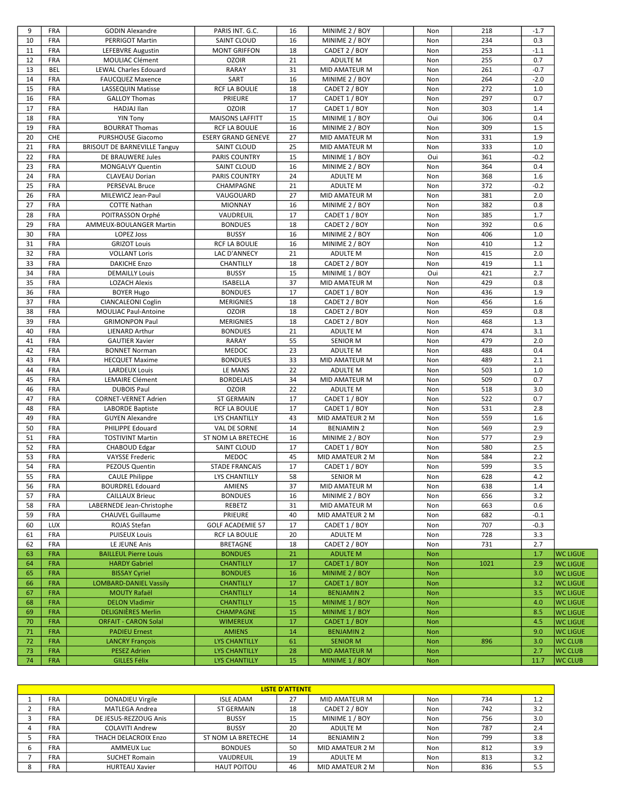| 9        | <b>FRA</b>               | <b>GODIN Alexandre</b>                              | PARIS INT. G.C.                              | 16       | MINIME 2 / BOY                          | Non        | 218  | $-1.7$     |                                  |
|----------|--------------------------|-----------------------------------------------------|----------------------------------------------|----------|-----------------------------------------|------------|------|------------|----------------------------------|
| 10       | FRA                      | PERRIGOT Martin                                     | <b>SAINT CLOUD</b>                           | 16       | MINIME 2 / BOY                          | Non        | 234  | 0.3        |                                  |
| 11       | FRA                      | LEFEBVRE Augustin                                   | <b>MONT GRIFFON</b>                          | 18       | CADET 2 / BOY                           | Non        | 253  | $-1.1$     |                                  |
| 12       | <b>FRA</b>               | MOULIAC Clément                                     | <b>OZOIR</b>                                 | 21       | ADULTE M                                | Non        | 255  | 0.7        |                                  |
| 13       | <b>BEL</b>               | <b>LEWAL Charles Edouard</b>                        | <b>RARAY</b>                                 | 31       | MID AMATEUR M                           | Non        | 261  | $-0.7$     |                                  |
| 14       | <b>FRA</b>               | <b>FAUCQUEZ Maxence</b>                             | SART                                         | 16       | MINIME 2 / BOY                          | Non        | 264  | $-2.0$     |                                  |
| 15       | FRA                      | LASSEQUIN Matisse                                   | <b>RCF LA BOULIE</b>                         | 18       | CADET 2 / BOY                           | Non        | 272  | 1.0        |                                  |
| 16       | FRA                      | <b>GALLOY Thomas</b>                                | <b>PRIEURE</b>                               | 17       | CADET 1 / BOY                           | Non        | 297  | 0.7        |                                  |
| 17       | <b>FRA</b>               | HADJAJ Ilan                                         | <b>OZOIR</b>                                 | 17       | CADET 1 / BOY                           | Non        | 303  | 1.4        |                                  |
| 18       | <b>FRA</b>               | <b>YIN Tony</b>                                     | <b>MAISONS LAFFITT</b>                       | 15       | MINIME 1 / BOY                          | Oui        | 306  | 0.4        |                                  |
| 19       | <b>FRA</b>               | <b>BOURRAT Thomas</b>                               | <b>RCF LA BOULIE</b>                         | 16       | MINIME 2 / BOY                          | Non        | 309  | 1.5        |                                  |
| 20       | CHE                      | <b>PURSHOUSE Giacomo</b>                            | <b>ESERY GRAND GENEVE</b>                    | 27       | MID AMATEUR M                           | Non        | 331  | 1.9        |                                  |
| 21       | FRA                      | <b>BRISOUT DE BARNEVILLE Tanguy</b>                 | SAINT CLOUD                                  | 25       | MID AMATEUR M                           | Non        | 333  | $1.0$      |                                  |
| 22       | <b>FRA</b>               | DE BRAUWERE Jules                                   | <b>PARIS COUNTRY</b>                         | 15       | MINIME 1 / BOY                          | Oui        | 361  | $-0.2$     |                                  |
| 23       | <b>FRA</b>               | <b>MONGALVY Quentin</b>                             | SAINT CLOUD                                  | 16       | MINIME 2 / BOY                          | Non        | 364  | 0.4        |                                  |
| 24       | <b>FRA</b>               | <b>CLAVEAU Dorian</b>                               | PARIS COUNTRY                                | 24       | <b>ADULTE M</b>                         | Non        | 368  | 1.6        |                                  |
| 25       | FRA                      | PERSEVAL Bruce                                      | CHAMPAGNE                                    | 21       | ADULTE M                                | Non        | 372  | $-0.2$     |                                  |
| 26       | FRA                      | MILEWICZ Jean-Paul                                  | VAUGOUARD                                    | 27       | MID AMATEUR M                           | Non        | 381  | 2.0        |                                  |
| 27       | <b>FRA</b>               | <b>COTTE Nathan</b>                                 | <b>MIONNAY</b>                               | 16       | MINIME 2 / BOY                          | Non        | 382  | 0.8        |                                  |
| 28       | FRA                      | POITRASSON Orphé                                    | VAUDREUIL                                    | 17       | CADET 1 / BOY                           | Non        | 385  | 1.7        |                                  |
| 29       | <b>FRA</b>               | AMMEUX-BOULANGER Martin                             | <b>BONDUES</b>                               | 18       | CADET 2 / BOY                           | Non        | 392  | 0.6        |                                  |
| 30       | FRA                      | <b>LOPEZ Joss</b>                                   | <b>BUSSY</b>                                 | 16       | MINIME 2 / BOY                          | Non        | 406  | 1.0        |                                  |
| 31       | FRA                      | <b>GRIZOT Louis</b>                                 | <b>RCF LA BOULIE</b>                         | 16       | MINIME 2 / BOY                          | Non        | 410  | 1.2        |                                  |
| 32       | <b>FRA</b>               | <b>VOLLANT Loris</b>                                | LAC D'ANNECY                                 | 21       | ADULTE M                                | Non        | 415  | 2.0        |                                  |
| 33       | <b>FRA</b>               | <b>DAKICHE Enzo</b>                                 | CHANTILLY                                    | 18       | CADET 2 / BOY                           | Non        | 419  | 1.1        |                                  |
| 34       | <b>FRA</b>               | <b>DEMAILLY Louis</b>                               | <b>BUSSY</b>                                 | 15       | MINIME 1 / BOY                          | Oui        | 421  | 2.7        |                                  |
| 35       | FRA                      | <b>LOZACH Alexis</b>                                | <b>ISABELLA</b>                              | 37       | MID AMATEUR M                           | Non        | 429  | 0.8        |                                  |
| 36       | FRA                      | <b>BOYER Hugo</b>                                   | <b>BONDUES</b>                               | 17       | CADET 1 / BOY                           | Non        | 436  | 1.9        |                                  |
| 37       | FRA                      | <b>CIANCALEONI Coglin</b>                           | <b>MERIGNIES</b>                             | 18       | CADET 2 / BOY                           | Non        | 456  | 1.6        |                                  |
| 38       | <b>FRA</b>               | MOULIAC Paul-Antoine                                | <b>OZOIR</b>                                 | 18       | CADET 2 / BOY                           | Non        | 459  | 0.8        |                                  |
| 39       | <b>FRA</b>               | <b>GRIMONPON Paul</b>                               | <b>MERIGNIES</b>                             | 18       | CADET 2 / BOY                           | Non        | 468  | 1.3        |                                  |
| 40       | FRA                      | <b>LIENARD Arthur</b>                               | <b>BONDUES</b>                               | 21       | ADULTE M                                | Non        | 474  | 3.1        |                                  |
| 41       | FRA                      | <b>GAUTIER Xavier</b>                               | RARAY                                        | 55       | <b>SENIOR M</b>                         | Non        | 479  | 2.0        |                                  |
| 42       | <b>FRA</b>               | <b>BONNET Norman</b>                                | <b>MEDOC</b>                                 | 23       | ADULTE M                                | Non        | 488  | 0.4        |                                  |
| 43       | <b>FRA</b>               | <b>HECQUET Maxime</b>                               | <b>BONDUES</b>                               | 33       | MID AMATEUR M                           | Non        | 489  | 2.1        |                                  |
| 44       | FRA                      | <b>LARDEUX Louis</b>                                | LE MANS                                      | 22       | ADULTE M                                | Non        | 503  | 1.0        |                                  |
| 45       | FRA                      | <b>LEMAIRE Clément</b>                              | <b>BORDELAIS</b>                             | 34       | MID AMATEUR M                           | Non        | 509  | 0.7        |                                  |
| 46       | FRA                      | <b>DUBOIS Paul</b>                                  | <b>OZOIR</b>                                 | 22       | ADULTE M                                | Non        | 518  | 3.0        |                                  |
| 47       | FRA                      | CORNET-VERNET Adrien                                | ST GERMAIN                                   | 17       | CADET 1 / BOY                           | Non        | 522  | 0.7        |                                  |
| 48       | FRA                      | LABORDE Baptiste                                    | <b>RCF LA BOULIE</b>                         | 17       | CADET 1 / BOY                           | Non        | 531  | 2.8        |                                  |
| 49       | FRA                      | <b>GUYEN Alexandre</b>                              | <b>LYS CHANTILLY</b>                         | 43       | MID AMATEUR 2 M                         | Non        | 559  | 1.6        |                                  |
| 50       | FRA                      | PHILIPPE Edouard                                    | VAL DE SORNE                                 | 14       | <b>BENJAMIN 2</b>                       | Non        | 569  | 2.9        |                                  |
| 51       | FRA                      | <b>TOSTIVINT Martin</b>                             | ST NOM LA BRETECHE                           | 16       | MINIME 2 / BOY                          | Non        | 577  | 2.9        |                                  |
| 52       | FRA                      | CHABOUD Edgar                                       | SAINT CLOUD                                  | 17       | CADET 1 / BOY                           | Non        | 580  | 2.5        |                                  |
| 53       | FRA                      | <b>VAYSSE Frederic</b>                              | <b>MEDOC</b>                                 | 45       | MID AMATEUR 2 M                         | Non        | 584  | 2.2        |                                  |
| 54       | FRA                      | <b>PEZOUS Quentin</b>                               | <b>STADE FRANCAIS</b>                        | 17       | CADET 1 / BOY                           | Non        | 599  | 3.5        |                                  |
| 55       | FRA                      | <b>CAULE Philippe</b>                               | LYS CHANTILLY                                | 58       | SENIOR M                                | Non        | 628  | $4.2\,$    |                                  |
| 56       | FRA                      | <b>BOURDREL Edouard</b>                             | AMIENS                                       | 37       | MID AMATEUR M                           | Non        | 638  | 1.4        |                                  |
| 57       | FRA                      | <b>CAILLAUX Brieuc</b>                              | <b>BONDUES</b>                               | 16       | MINIME 2 / BOY                          | Non        | 656  | 3.2        |                                  |
| 58       | FRA                      | LABERNEDE Jean-Christophe                           | REBETZ                                       | 31       | MID AMATEUR M                           | Non        | 663  | 0.6        |                                  |
| 59       | FRA                      | <b>CHAUVEL Guillaume</b>                            | PRIEURE                                      | 40       | MID AMATEUR 2 M                         | Non        | 682  | $-0.1$     |                                  |
| 60       | <b>LUX</b>               | ROJAS Stefan                                        | <b>GOLF ACADEMIE 57</b>                      | 17       | CADET 1 / BOY                           | Non        | 707  | $-0.3$     |                                  |
| 61       | <b>FRA</b>               | <b>PUISEUX Louis</b>                                | RCF LA BOULIE                                | 20       | ADULTE M                                | Non        | 728  | 3.3        |                                  |
| 62       | <b>FRA</b>               | LE JEUNE Anis                                       | <b>BRETAGNE</b>                              | 18       | CADET 2 / BOY                           | Non        | 731  | 2.7        |                                  |
| 63       | <b>FRA</b>               | <b>BAILLEUL Pierre Louis</b>                        | <b>BONDUES</b>                               | 21       | <b>ADULTE M</b>                         | Non        |      | 1.7        | <b>WC LIGUE</b>                  |
| 64       | <b>FRA</b>               | <b>HARDY Gabriel</b>                                | <b>CHANTILLY</b>                             | 17       | CADET 1 / BOY                           | <b>Non</b> | 1021 | 2.9        | <b>WC LIGUE</b>                  |
| 65       | <b>FRA</b>               | <b>BISSAY Cyriel</b>                                | <b>BONDUES</b>                               | 16       | MINIME 2 / BOY                          | <b>Non</b> |      | 3.0        | <b>WC LIGUE</b>                  |
| 66       | <b>FRA</b>               | <b>LOMBARD-DANIEL Vassily</b>                       | <b>CHANTILLY</b>                             | 17       | CADET 1 / BOY                           | <b>Non</b> |      | 3.2        | <b>WC LIGUE</b>                  |
| 67       | <b>FRA</b>               | <b>MOUTY Rafaël</b>                                 | <b>CHANTILLY</b>                             | 14       | <b>BENJAMIN 2</b>                       | <b>Non</b> |      | 3.5        | <b>WC LIGUE</b>                  |
| 68       | <b>FRA</b>               | <b>DELON Vladimir</b>                               | <b>CHANTILLY</b>                             | 15       | MINIME 1 / BOY                          | <b>Non</b> |      | 4.0        | <b>WC LIGUE</b>                  |
| 69       | <b>FRA</b>               | <b>DELIGNIÈRES Merlin</b>                           | <b>CHAMPAGNE</b>                             | 15       | MINIME 1 / BOY                          | <b>Non</b> |      | 8.5        | <b>WC LIGUE</b>                  |
| 70       | <b>FRA</b>               | <b>ORFAIT - CARON Solal</b><br><b>PADIEU Ernest</b> | <b>WIMEREUX</b>                              | 17       | CADET 1 / BOY                           | <b>Non</b> |      | 4.5        | <b>WC LIGUE</b>                  |
| 71<br>72 | <b>FRA</b><br><b>FRA</b> |                                                     | <b>AMIENS</b>                                | 14<br>61 | <b>BENJAMIN 2</b>                       | <b>Non</b> | 896  | 9.0<br>3.0 | <b>WC LIGUE</b>                  |
| 73       | <b>FRA</b>               | <b>LANCRY François</b><br><b>PESEZ Adrien</b>       | <b>LYS CHANTILLY</b><br><b>LYS CHANTILLY</b> |          | <b>SENIOR M</b><br><b>MID AMATEUR M</b> | Non        |      | 2.7        | <b>WC CLUB</b><br><b>WC CLUB</b> |
| 74       | <b>FRA</b>               | <b>GILLES Félix</b>                                 | <b>LYS CHANTILLY</b>                         | 28<br>15 | MINIME 1 / BOY                          | <b>Non</b> |      | 11.7       |                                  |
|          |                          |                                                     |                                              |          |                                         | Non        |      |            | <b>WC CLUB</b>                   |

|   | <b>LISTE D'ATTENTE</b> |                         |                    |    |                   |  |     |     |     |  |  |
|---|------------------------|-------------------------|--------------------|----|-------------------|--|-----|-----|-----|--|--|
|   | <b>FRA</b>             | <b>DONADIEU Virgile</b> | <b>ISLE ADAM</b>   | 27 | MID AMATEUR M     |  | Non | 734 | 1.2 |  |  |
|   | <b>FRA</b>             | MATLEGA Andrea          | ST GERMAIN         | 18 | CADET 2 / BOY     |  | Non | 742 | 3.2 |  |  |
|   | <b>FRA</b>             | DE JESUS-REZZOUG Anis   | <b>BUSSY</b>       | 15 | MINIME 1 / BOY    |  | Non | 756 | 3.0 |  |  |
|   | <b>FRA</b>             | <b>COLAVITI Andrew</b>  | <b>BUSSY</b>       | 20 | ADULTE M          |  | Non | 787 | 2.4 |  |  |
|   | <b>FRA</b>             | THACH DELACROIX Enzo    | ST NOM LA BRETECHE | 14 | <b>BENJAMIN 2</b> |  | Non | 799 | 3.8 |  |  |
| b | <b>FRA</b>             | <b>AMMEUX Luc</b>       | <b>BONDUES</b>     | 50 | MID AMATEUR 2 M   |  | Non | 812 | 3.9 |  |  |
|   | <b>FRA</b>             | <b>SUCHET Romain</b>    | VAUDREUIL          | 19 | ADULTE M          |  | Non | 813 | 3.2 |  |  |
| 8 | <b>FRA</b>             | <b>HURTEAU Xavier</b>   | <b>HAUT POITOU</b> | 46 | MID AMATEUR 2 M   |  | Non | 836 | 5.5 |  |  |